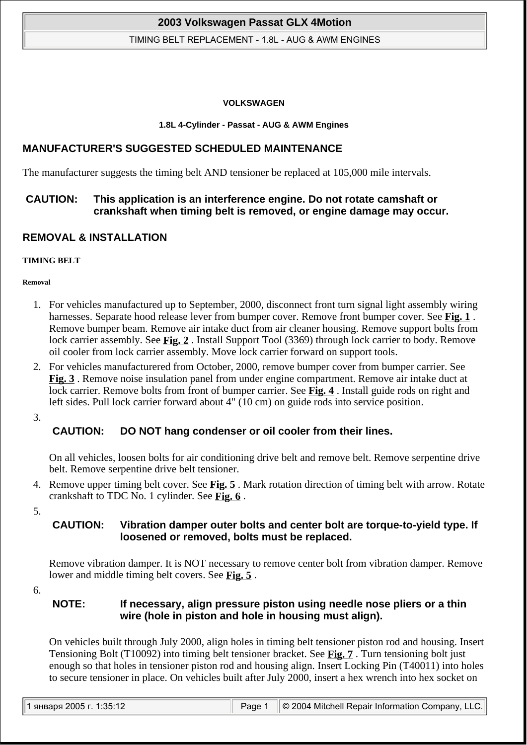### TIMING BELT REPLACEMENT - 1.8L - AUG & AWM ENGINES

#### **VOLKSWAGEN**

#### **1.8L 4-Cylinder - Passat - AUG & AWM Engines**

## **MANUFACTURER'S SUGGESTED SCHEDULED MAINTENANCE**

The manufacturer suggests the timing belt AND tensioner be replaced at 105,000 mile intervals.

## **CAUTION: This application is an interference engine. Do not rotate camshaft or crankshaft when timing belt is removed, or engine damage may occur.**

## **REMOVAL & INSTALLATION**

## **TIMING BELT**

**Removal** 

- 1. For vehicles manufactured up to September, 2000, disconnect front turn signal light assembly wiring harnesses. Separate hood release lever from bumper cover. Remove front bumper cover. See **Fig. 1** . Remove bumper beam. Remove air intake duct from air cleaner housing. Remove support bolts from lock carrier assembly. See **Fig. 2** . Install Support Tool (3369) through lock carrier to body. Remove oil cooler from lock carrier assembly. Move lock carrier forward on support tools.
- 2. For vehicles manufacturered from October, 2000, remove bumper cover from bumper carrier. See **Fig. 3** . Remove noise insulation panel from under engine compartment. Remove air intake duct at lock carrier. Remove bolts from front of bumper carrier. See **Fig. 4** . Install guide rods on right and left sides. Pull lock carrier forward about 4" (10 cm) on guide rods into service position.

3.

# **CAUTION: DO NOT hang condenser or oil cooler from their lines.**

On all vehicles, loosen bolts for air conditioning drive belt and remove belt. Remove serpentine drive belt. Remove serpentine drive belt tensioner.

4. Remove upper timing belt cover. See **Fig. 5** . Mark rotation direction of timing belt with arrow. Rotate crankshaft to TDC No. 1 cylinder. See **Fig. 6** .

5.

## **CAUTION: Vibration damper outer bolts and center bolt are torque-to-yield type. If loosened or removed, bolts must be replaced.**

Remove vibration damper. It is NOT necessary to remove center bolt from vibration damper. Remove lower and middle timing belt covers. See **Fig. 5** .

6.

## **NOTE: If necessary, align pressure piston using needle nose pliers or a thin wire (hole in piston and hole in housing must align).**

On vehicles built through July 2000, align holes in timing belt tensioner piston rod and housing. Insert Tensioning Bolt (T10092) into timing belt tensioner bracket. See **Fig. 7** . Turn tensioning bolt just enough so that holes in tensioner piston rod and housing align. Insert Locking Pin (T40011) into holes to secure tensioner in place. On vehicles built after July 2000, insert a hex wrench into hex socket on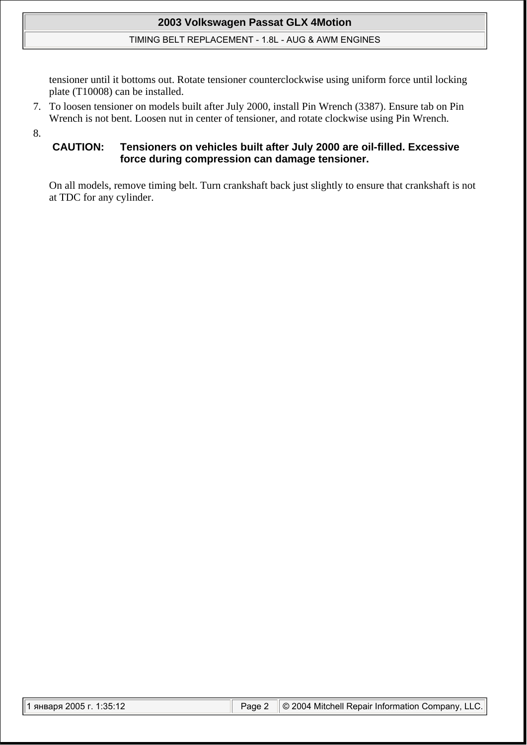## TIMING BELT REPLACEMENT - 1.8L - AUG & AWM ENGINES

tensioner until it bottoms out. Rotate tensioner counterclockwise using uniform force until locking plate (T10008) can be installed.

7. To loosen tensioner on models built after July 2000, install Pin Wrench (3387). Ensure tab on Pin Wrench is not bent. Loosen nut in center of tensioner, and rotate clockwise using Pin Wrench.

8.

## **CAUTION: Tensioners on vehicles built after July 2000 are oil-filled. Excessive force during compression can damage tensioner.**

On all models, remove timing belt. Turn crankshaft back just slightly to ensure that crankshaft is not at TDC for any cylinder.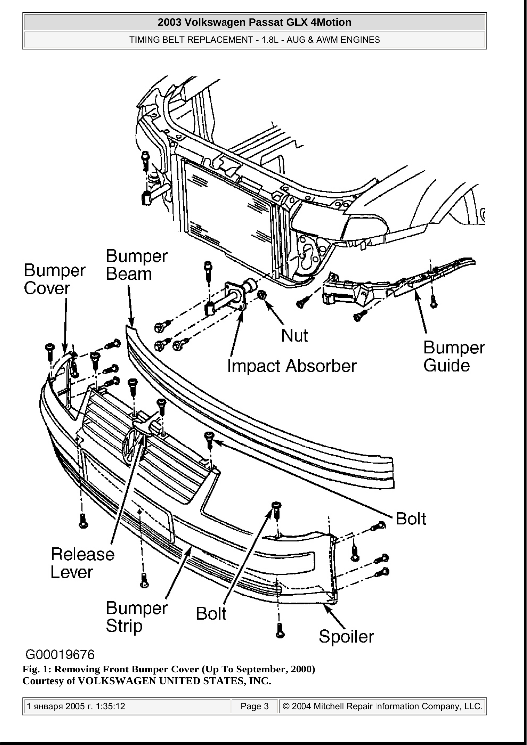#### TIMING BELT REPLACEMENT - 1.8L - AUG & AWM ENGINES



# G00019676

**Fig. 1: Removing Front Bumper Cover (Up To September, 2000) Courtesy of VOLKSWAGEN UNITED STATES, INC.**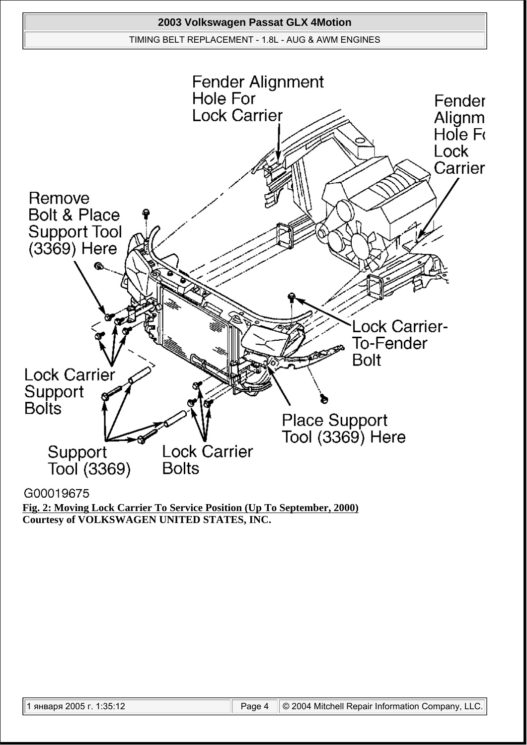

G00019675

**Fig. 2: Moving Lock Carrier To Service Position (Up To September, 2000) Courtesy of VOLKSWAGEN UNITED STATES, INC.**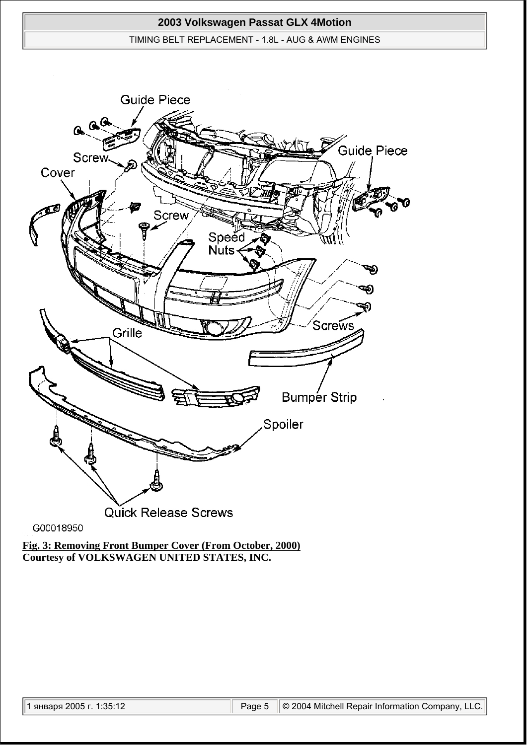## TIMING BELT REPLACEMENT - 1.8L - AUG & AWM ENGINES



G00018950

**Fig. 3: Removing Front Bumper Cover (From October, 2000) Courtesy of VOLKSWAGEN UNITED STATES, INC.**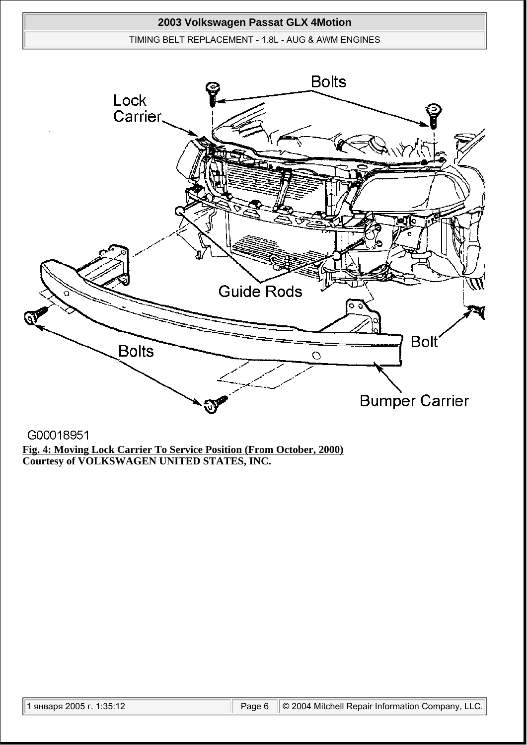## TIMING BELT REPLACEMENT - 1.8L - AUG & AWM ENGINES



G00018951 **Fig. 4: Moving Lock Carrier To Service Position (From October, 2000) Courtesy of VOLKSWAGEN UNITED STATES, INC.**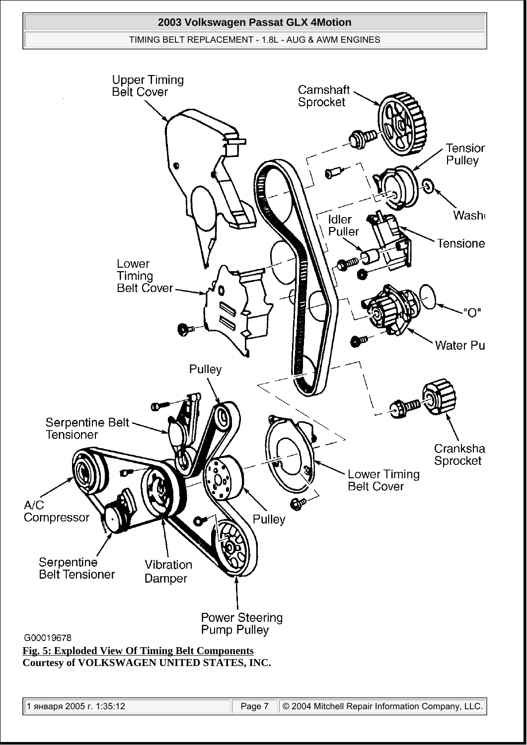# **2003 Volkswagen Passat GLX 4Motion**  TIMING BELT REPLACEMENT - 1.8L - AUG & AWM ENGINES **Upper Timing**<br>Belt Cover

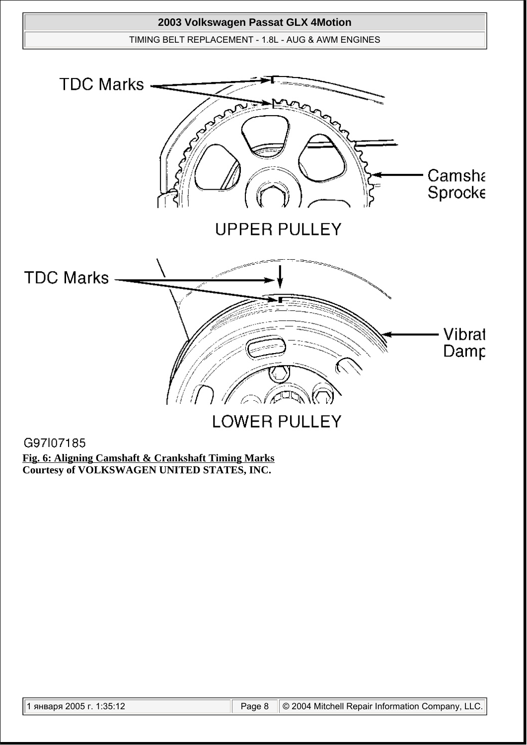

G97l07185

**Fig. 6: Aligning Camshaft & Crankshaft Timing Marks Courtesy of VOLKSWAGEN UNITED STATES, INC.**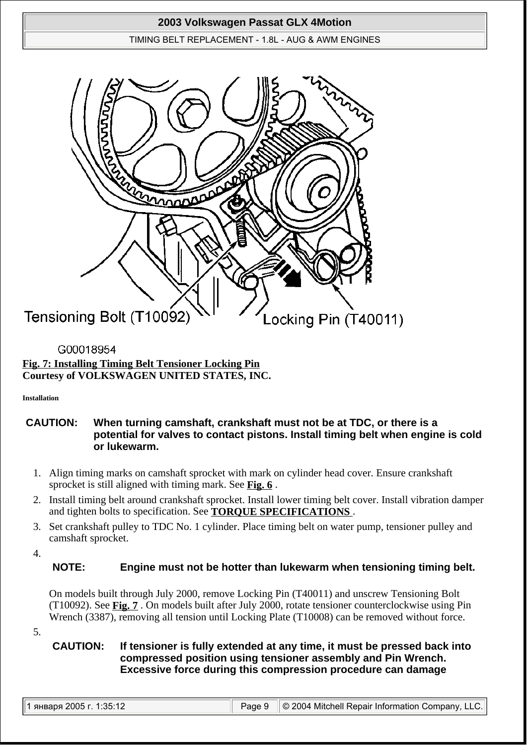## TIMING BELT REPLACEMENT - 1.8L - AUG & AWM ENGINES



# G00018954 **Fig. 7: Installing Timing Belt Tensioner Locking Pin Courtesy of VOLKSWAGEN UNITED STATES, INC.**

## **Installation**

## **CAUTION: When turning camshaft, crankshaft must not be at TDC, or there is a potential for valves to contact pistons. Install timing belt when engine is cold or lukewarm.**

- 1. Align timing marks on camshaft sprocket with mark on cylinder head cover. Ensure crankshaft sprocket is still aligned with timing mark. See **Fig. 6** .
- 2. Install timing belt around crankshaft sprocket. Install lower timing belt cover. Install vibration damper and tighten bolts to specification. See **TORQUE SPECIFICATIONS** .
- 3. Set crankshaft pulley to TDC No. 1 cylinder. Place timing belt on water pump, tensioner pulley and camshaft sprocket.
- 4.

# **NOTE: Engine must not be hotter than lukewarm when tensioning timing belt.**

On models built through July 2000, remove Locking Pin (T40011) and unscrew Tensioning Bolt (T10092). See **Fig. 7** . On models built after July 2000, rotate tensioner counterclockwise using Pin Wrench (3387), removing all tension until Locking Plate (T10008) can be removed without force.

5.

# **CAUTION: If tensioner is fully extended at any time, it must be pressed back into compressed position using tensioner assembly and Pin Wrench. Excessive force during this compression procedure can damage**

|  |  |  |  |  | 1 января 2005 г. 1:35:12 |
|--|--|--|--|--|--------------------------|
|--|--|--|--|--|--------------------------|